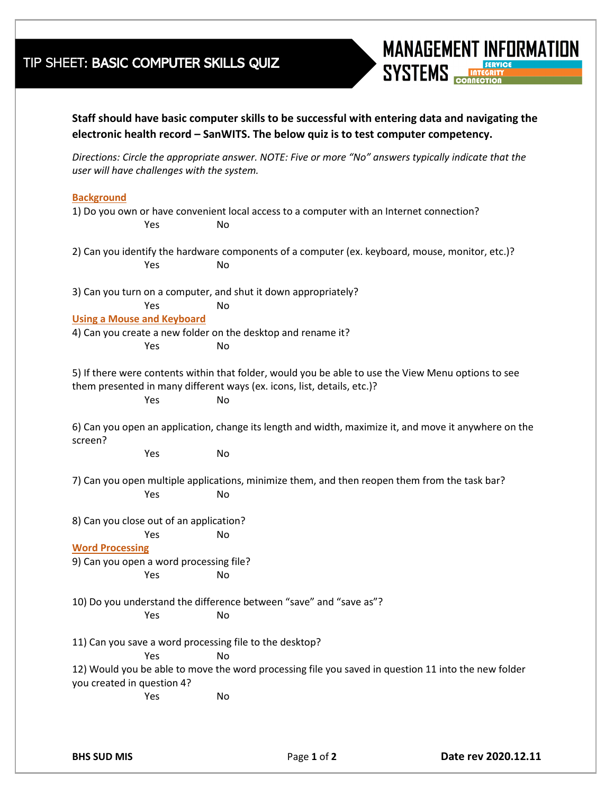## TIP SHEET: BASIC COMPUTER SKILLS QUIZ



**Staff should have basic computer skills to be successful with entering data and navigating the electronic health record – SanWITS. The below quiz is to test computer competency.**

*Directions: Circle the appropriate answer. NOTE: Five or more "No" answers typically indicate that the user will have challenges with the system.* 

## **Background**

| Yes                                     | No                                                                      | 1) Do you own or have convenient local access to a computer with an Internet connection?              |
|-----------------------------------------|-------------------------------------------------------------------------|-------------------------------------------------------------------------------------------------------|
|                                         |                                                                         | 2) Can you identify the hardware components of a computer (ex. keyboard, mouse, monitor, etc.)?       |
| Yes                                     | No                                                                      |                                                                                                       |
|                                         | 3) Can you turn on a computer, and shut it down appropriately?          |                                                                                                       |
| Yes                                     | No                                                                      |                                                                                                       |
| <b>Using a Mouse and Keyboard</b>       |                                                                         |                                                                                                       |
|                                         | 4) Can you create a new folder on the desktop and rename it?            |                                                                                                       |
| Yes                                     | No                                                                      |                                                                                                       |
|                                         | them presented in many different ways (ex. icons, list, details, etc.)? | 5) If there were contents within that folder, would you be able to use the View Menu options to see   |
| Yes                                     | No                                                                      |                                                                                                       |
| screen?                                 |                                                                         | 6) Can you open an application, change its length and width, maximize it, and move it anywhere on the |
| Yes                                     | No                                                                      |                                                                                                       |
|                                         |                                                                         | 7) Can you open multiple applications, minimize them, and then reopen them from the task bar?         |
| Yes                                     | No                                                                      |                                                                                                       |
| 8) Can you close out of an application? |                                                                         |                                                                                                       |
| Yes                                     | No                                                                      |                                                                                                       |
| <b>Word Processing</b>                  |                                                                         |                                                                                                       |
| 9) Can you open a word processing file? |                                                                         |                                                                                                       |
| Yes                                     | No                                                                      |                                                                                                       |
|                                         |                                                                         | 10) Do you understand the difference between "save" and "save as"?                                    |
| Yes                                     | No                                                                      |                                                                                                       |
|                                         | 11) Can you save a word processing file to the desktop?                 |                                                                                                       |
| Yes                                     | No.                                                                     |                                                                                                       |
|                                         |                                                                         | 12) Would you be able to move the word processing file you saved in question 11 into the new folder   |
| you created in question 4?              |                                                                         |                                                                                                       |
| Yes                                     | No                                                                      |                                                                                                       |
|                                         |                                                                         |                                                                                                       |